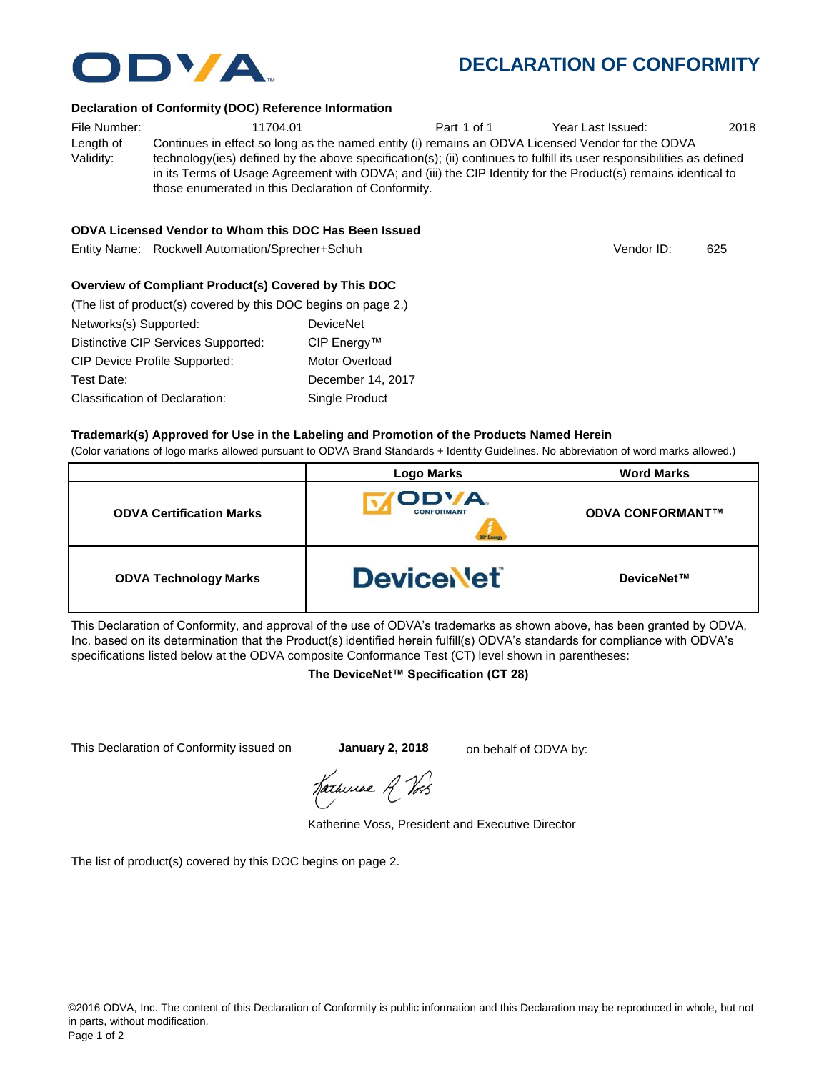

|                                 | <b>Logo Marks</b>           | <b>Word Marks</b>       |
|---------------------------------|-----------------------------|-------------------------|
| <b>ODVA Certification Marks</b> | OD'/A.<br><b>CONFORMANT</b> | <b>ODVA CONFORMANT™</b> |
| <b>ODVA Technology Marks</b>    | <b>DeviceNet</b>            | DeviceNet™              |

This Declaration of Conformity, and approval of the use of ODVA's trademarks as shown above, has been granted by ODVA, Inc. based on its determination that the Product(s) identified herein fulfill(s) ODVA's standards for compliance with ODVA's specifications listed below at the ODVA composite Conformance Test (CT) level shown in parentheses:

### **The DeviceNet™ Specification (CT 28)**

This Declaration of Conformity issued on **January 2, 2018** on behalf of ODVA by:

Katherine Voss, President and Executive Director

The list of product(s) covered by this DOC begins on page 2.

# **DECLARATION OF CONFORMITY**

#### **Declaration of Conformity (DOC) Reference Information**

File Number:  $11704.01$  Part 1 of 1 Year Last Issued: 2018 Length of Validity: Continues in effect so long as the named entity (i) remains an ODVA Licensed Vendor for the ODVA technology(ies) defined by the above specification(s); (ii) continues to fulfill its user responsibilities as defined in its Terms of Usage Agreement with ODVA; and (iii) the CIP Identity for the Product(s) remains identical to those enumerated in this Declaration of Conformity.

#### **ODVA Licensed Vendor to Whom this DOC Has Been Issued**

Entity Name: Rockwell Automation/Sprecher+Schuh 625 and the control of the control of the control of the control of the control of the control of the control of the control of the control of the control of the control of t

#### **Overview of Compliant Product(s) Covered by This DOC**

| (The list of product(s) covered by this DOC begins on page 2.) |                       |
|----------------------------------------------------------------|-----------------------|
| Networks(s) Supported:                                         | <b>DeviceNet</b>      |
| Distinctive CIP Services Supported:                            | CIP Energy™           |
| <b>CIP Device Profile Supported:</b>                           | <b>Motor Overload</b> |
| Test Date:                                                     | December 14, 2017     |
| <b>Classification of Declaration:</b>                          | Single Product        |

©2016 ODVA, Inc. The content of this Declaration of Conformity is public information and this Declaration may be reproduced in whole, but not



Vendor ID:

**TYA**